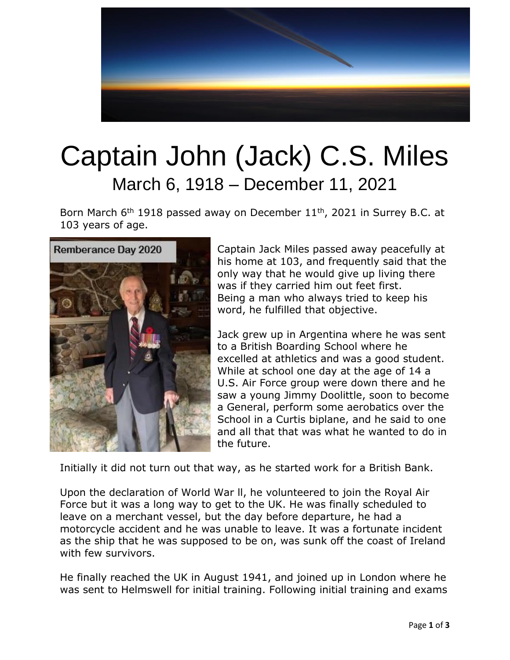

## Captain John (Jack) C.S. Miles March 6, 1918 – December 11, 2021

Born March  $6<sup>th</sup>$  1918 passed away on December 11<sup>th</sup>, 2021 in Surrey B.C. at 103 years of age.



Captain Jack Miles passed away peacefully at his home at 103, and frequently said that the only way that he would give up living there was if they carried him out feet first. Being a man who always tried to keep his word, he fulfilled that objective.

Jack grew up in Argentina where he was sent to a British Boarding School where he excelled at athletics and was a good student. While at school one day at the age of 14 a U.S. Air Force group were down there and he saw a young Jimmy Doolittle, soon to become a General, perform some aerobatics over the School in a Curtis biplane, and he said to one and all that that was what he wanted to do in the future.

Initially it did not turn out that way, as he started work for a British Bank.

Upon the declaration of World War ll, he volunteered to join the Royal Air Force but it was a long way to get to the UK. He was finally scheduled to leave on a merchant vessel, but the day before departure, he had a motorcycle accident and he was unable to leave. It was a fortunate incident as the ship that he was supposed to be on, was sunk off the coast of Ireland with few survivors.

He finally reached the UK in August 1941, and joined up in London where he was sent to Helmswell for initial training. Following initial training and exams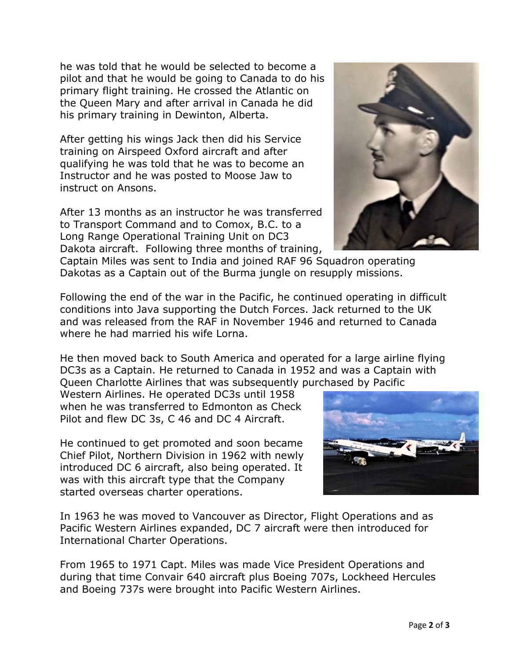he was told that he would be selected to become a pilot and that he would be going to Canada to do his primary flight training. He crossed the Atlantic on the Queen Mary and after arrival in Canada he did his primary training in Dewinton, Alberta.

After getting his wings Jack then did his Service training on Airspeed Oxford aircraft and after qualifying he was told that he was to become an Instructor and he was posted to Moose Jaw to instruct on Ansons.

After 13 months as an instructor he was transferred to Transport Command and to Comox, B.C. to a Long Range Operational Training Unit on DC3 Dakota aircraft. Following three months of training,



Captain Miles was sent to India and joined RAF 96 Squadron operating Dakotas as a Captain out of the Burma jungle on resupply missions.

Following the end of the war in the Pacific, he continued operating in difficult conditions into Java supporting the Dutch Forces. Jack returned to the UK and was released from the RAF in November 1946 and returned to Canada where he had married his wife Lorna.

He then moved back to South America and operated for a large airline flying DC3s as a Captain. He returned to Canada in 1952 and was a Captain with Queen Charlotte Airlines that was subsequently purchased by Pacific

Western Airlines. He operated DC3s until 1958 when he was transferred to Edmonton as Check Pilot and flew DC 3s, C 46 and DC 4 Aircraft.

He continued to get promoted and soon became Chief Pilot, Northern Division in 1962 with newly introduced DC 6 aircraft, also being operated. It was with this aircraft type that the Company started overseas charter operations.



In 1963 he was moved to Vancouver as Director, Flight Operations and as Pacific Western Airlines expanded, DC 7 aircraft were then introduced for International Charter Operations.

From 1965 to 1971 Capt. Miles was made Vice President Operations and during that time Convair 640 aircraft plus Boeing 707s, Lockheed Hercules and Boeing 737s were brought into Pacific Western Airlines.